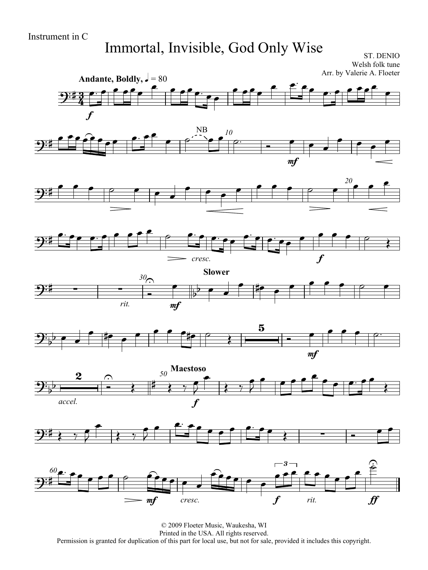## Immortal, Invisible, God Only Wise

ST. DENIO Welsh folk tune Arr. by Valerie A. Floeter



© 2009 Floeter Music, Waukesha, WI Printed in the USA. All rights reserved. Permission is granted for duplication of this part for local use, but not for sale, provided it includes this copyright.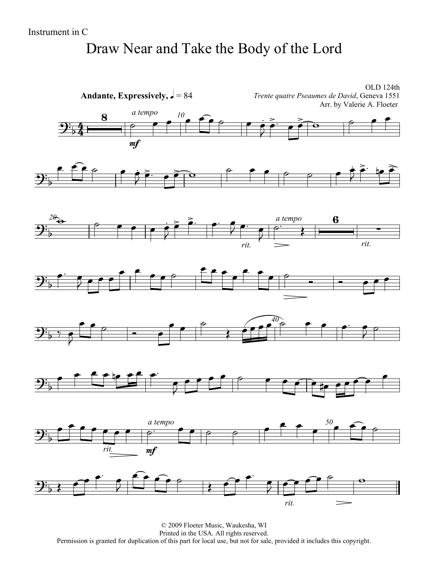# Draw Near and Take the Body of the Lord

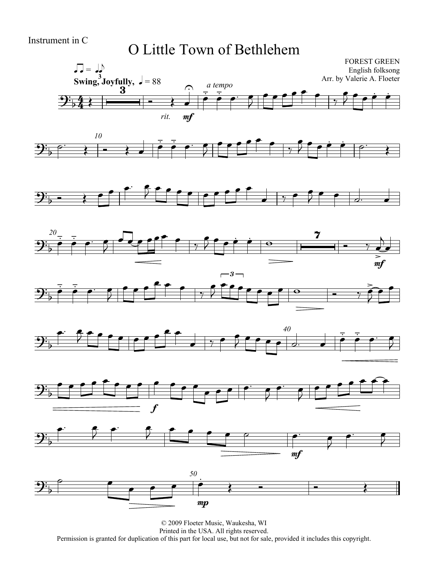#### Instrument in C

## O Little Town of Bethlehem

















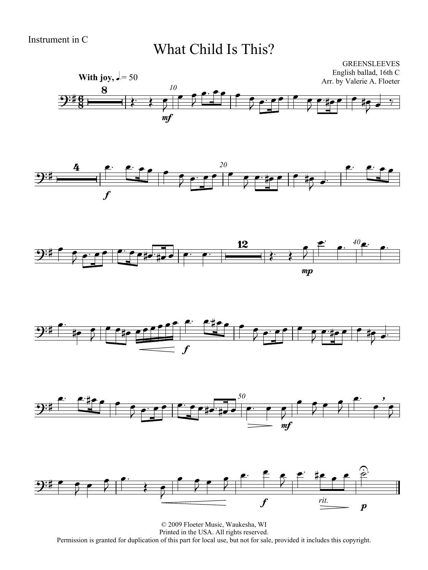## What Child Is This?











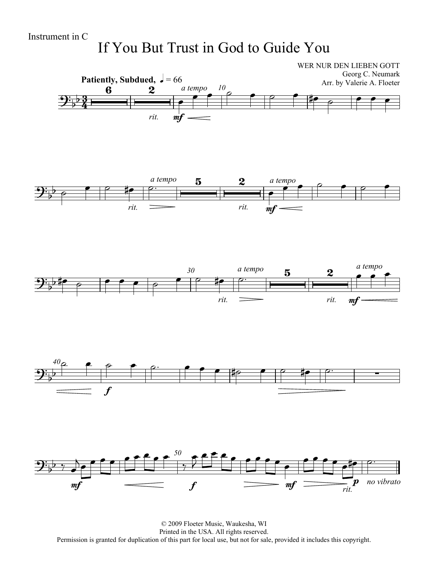## If You But Trust in God to Guide You



© 2009 Floeter Music, Waukesha, WI Printed in the USA. All rights reserved. Permission is granted for duplication of this part for local use, but not for sale, provided it includes this copyright.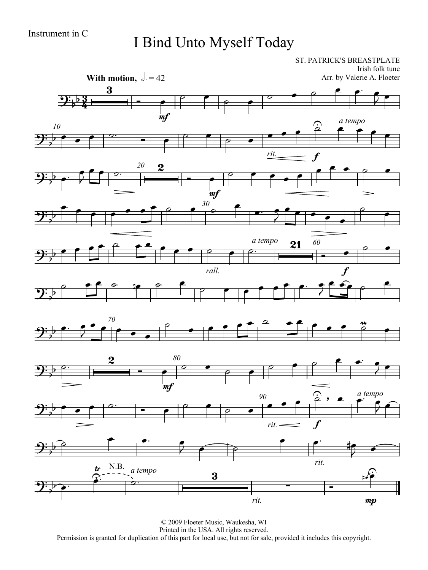# I Bind Unto Myself Today

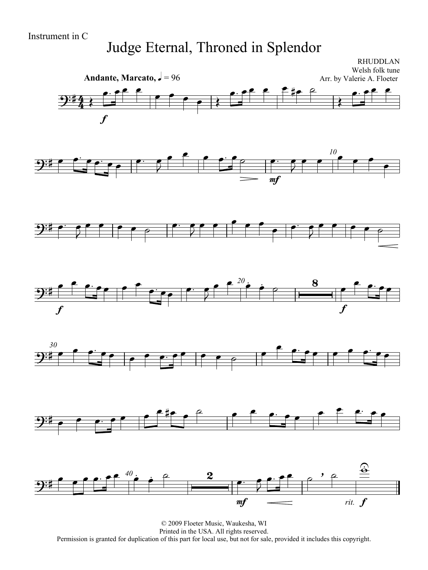## Judge Eternal, Throned in Splendor

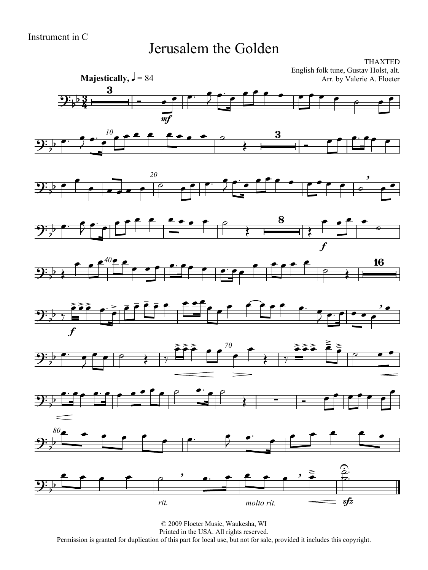#### Jerusalem the Golden

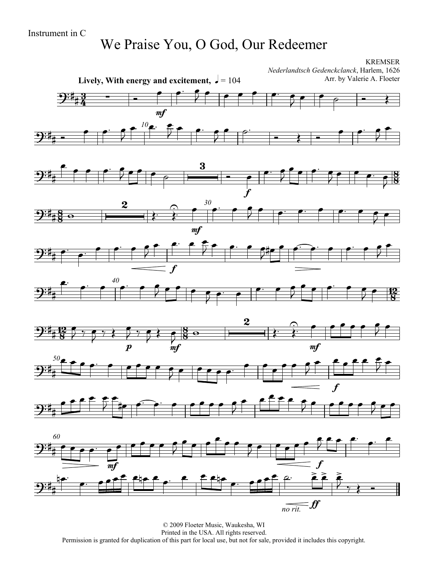## We Praise You, O God, Our Redeemer